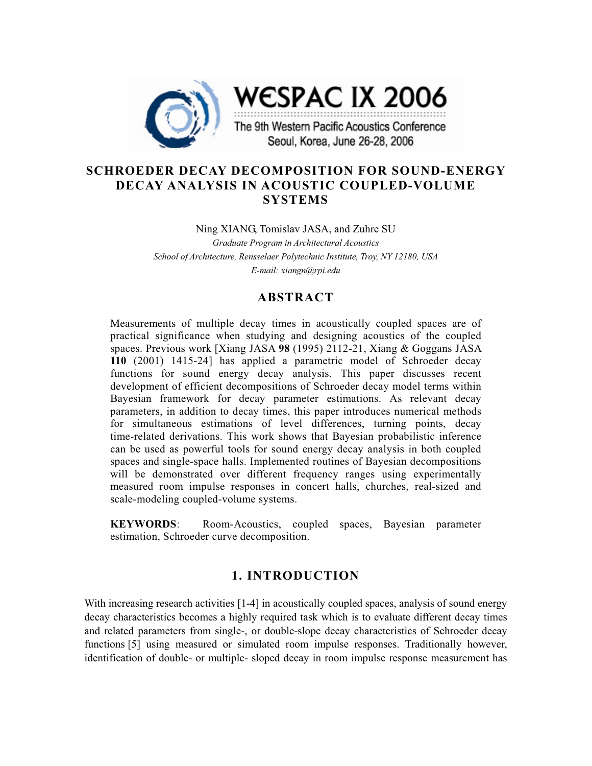

# **SCHROEDER DECAY DECOMPOSITION FOR SOUND-ENERGY DECAY ANALYSIS IN ACOUSTIC COUPLED-VOLUME SYSTEMS**

Ning XIANG, Tomislav JASA, and Zuhre SU

*Graduate Program in Architectural Acoustics School of Architecture, Rensselaer Polytechnic Institute, Troy, NY 12180, USA E-mail: xiangn@rpi.edu* 

# **ABSTRACT**

Measurements of multiple decay times in acoustically coupled spaces are of practical significance when studying and designing acoustics of the coupled spaces. Previous work [Xiang JASA **98** (1995) 2112-21, Xiang & Goggans JASA **110** (2001) 1415-24] has applied a parametric model of Schroeder decay functions for sound energy decay analysis. This paper discusses recent development of efficient decompositions of Schroeder decay model terms within Bayesian framework for decay parameter estimations. As relevant decay parameters, in addition to decay times, this paper introduces numerical methods for simultaneous estimations of level differences, turning points, decay time-related derivations. This work shows that Bayesian probabilistic inference can be used as powerful tools for sound energy decay analysis in both coupled spaces and single-space halls. Implemented routines of Bayesian decompositions will be demonstrated over different frequency ranges using experimentally measured room impulse responses in concert halls, churches, real-sized and scale-modeling coupled-volume systems.

**KEYWORDS**: Room-Acoustics, coupled spaces, Bayesian parameter estimation, Schroeder curve decomposition.

# **1. INTRODUCTION**

With increasing research activities [1-4] in acoustically coupled spaces, analysis of sound energy decay characteristics becomes a highly required task which is to evaluate different decay times and related parameters from single-, or double-slope decay characteristics of Schroeder decay functions [5] using measured or simulated room impulse responses. Traditionally however, identification of double- or multiple- sloped decay in room impulse response measurement has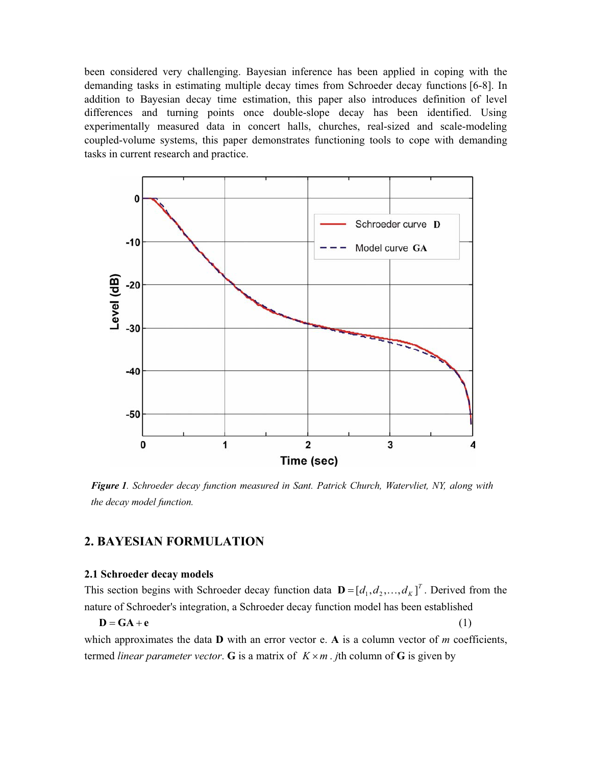been considered very challenging. Bayesian inference has been applied in coping with the demanding tasks in estimating multiple decay times from Schroeder decay functions [6-8]. In addition to Bayesian decay time estimation, this paper also introduces definition of level differences and turning points once double-slope decay has been identified. Using experimentally measured data in concert halls, churches, real-sized and scale-modeling coupled-volume systems, this paper demonstrates functioning tools to cope with demanding tasks in current research and practice.



*Figure 1. Schroeder decay function measured in Sant. Patrick Church, Watervliet, NY, along with the decay model function.* 

# **2. BAYESIAN FORMULATION**

## **2.1 Schroeder decay models**

This section begins with Schroeder decay function data  $\mathbf{D} = [d_1, d_2, ..., d_K]^T$ . Derived from the nature of Schroeder's integration, a Schroeder decay function model has been established

 $D = GA + e$  (1)

which approximates the data **D** with an error vector e. **A** is a column vector of *m* coefficients, termed *linear parameter vector*. **G** is a matrix of  $K \times m$ . *j*th column of **G** is given by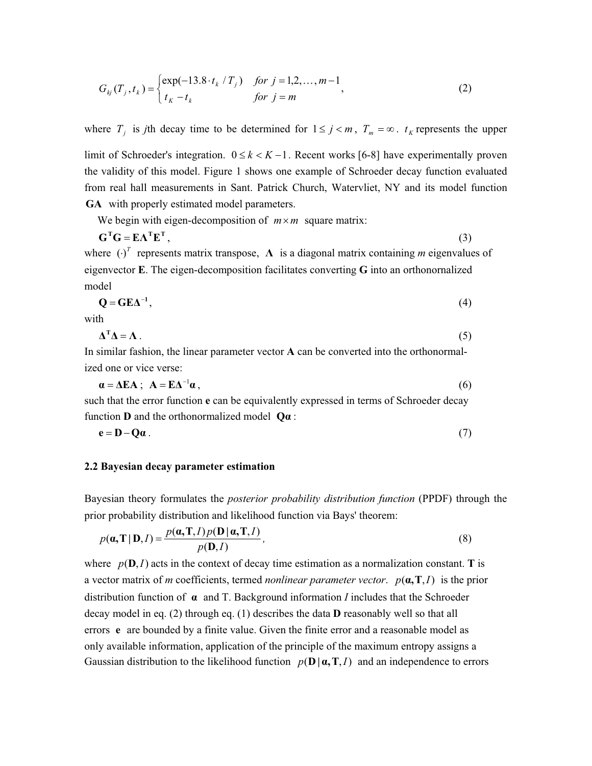$$
G_{kj}(T_j, t_k) = \begin{cases} \exp(-13.8 \cdot t_k / T_j) & \text{for } j = 1, 2, ..., m-1 \\ t_k - t_k & \text{for } j = m \end{cases}
$$
 (2)

where  $T_i$  is *j*th decay time to be determined for  $1 \le j \le m$ ,  $T_m = \infty$ .  $t_K$  represents the upper

limit of Schroeder's integration.  $0 \le k < K - 1$ . Recent works [6-8] have experimentally proven the validity of this model. Figure 1 shows one example of Schroeder decay function evaluated from real hall measurements in Sant. Patrick Church, Watervliet, NY and its model function **GA** with properly estimated model parameters.

We begin with eigen-decomposition of  $m \times m$  square matrix:

$$
\mathbf{G}^{\mathrm{T}}\mathbf{G} = \mathbf{E}\mathbf{\Lambda}^{\mathrm{T}}\mathbf{E}^{\mathrm{T}},\tag{3}
$$

where  $(\cdot)^T$  represents matrix transpose,  $\Lambda$  is a diagonal matrix containing *m* eigenvalues of eigenvector **E**. The eigen-decomposition facilitates converting **G** into an orthonornalized model

$$
Q = GE\Delta^{-1},\tag{4}
$$

with

$$
\Delta^{\mathrm{T}}\Delta = \Lambda\,. \tag{5}
$$

In similar fashion, the linear parameter vector **A** can be converted into the orthonormalized one or vice verse:

$$
\mathbf{a} = \Delta \mathbf{E} \mathbf{A} \; ; \; \mathbf{A} = \mathbf{E} \mathbf{\Delta}^{-1} \mathbf{a} \,, \tag{6}
$$

such that the error function **e** can be equivalently expressed in terms of Schroeder decay function **D** and the orthonormalized model  $Q\alpha$ :

$$
e = D - Q\alpha \tag{7}
$$

### **2.2 Bayesian decay parameter estimation**

Bayesian theory formulates the *posterior probability distribution function* (PPDF) through the prior probability distribution and likelihood function via Bays' theorem:

$$
p(\mathbf{a}, \mathbf{T} | \mathbf{D}, I) = \frac{p(\mathbf{a}, \mathbf{T}, I) p(\mathbf{D} | \mathbf{a}, \mathbf{T}, I)}{p(\mathbf{D}, I)},
$$
\n(8)

where  $p(\mathbf{D}, I)$  acts in the context of decay time estimation as a normalization constant. **T** is a vector matrix of *m* coefficients, termed *nonlinear parameter vector.*  $p(\mathbf{a}, \mathbf{T}, I)$  is the prior distribution function of  $\alpha$  and T. Background information *I* includes that the Schroeder decay model in eq. (2) through eq. (1) describes the data **D** reasonably well so that all errors **e** are bounded by a finite value. Given the finite error and a reasonable model as only available information, application of the principle of the maximum entropy assigns a Gaussian distribution to the likelihood function  $p(\mathbf{D} | \boldsymbol{\alpha}, \mathbf{T}, I)$  and an independence to errors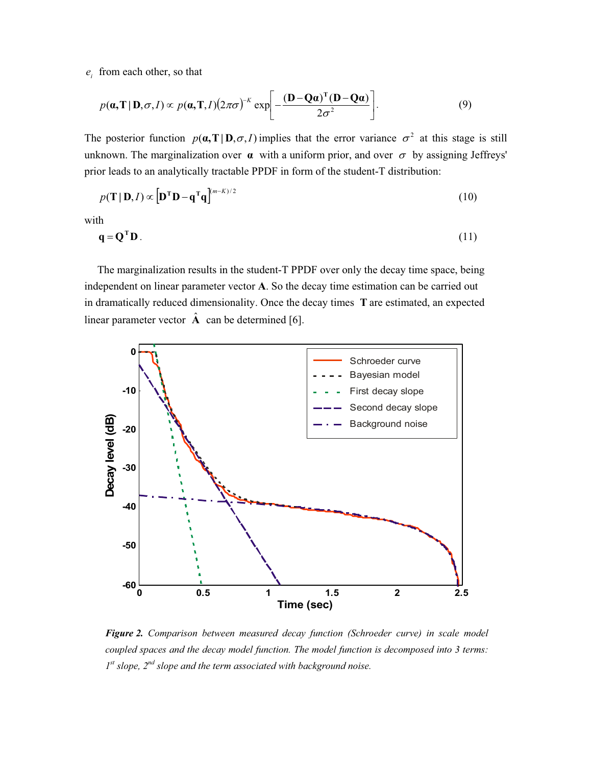$e_i$  from each other, so that

$$
p(\mathbf{a}, \mathbf{T} \mid \mathbf{D}, \sigma, I) \propto p(\mathbf{a}, \mathbf{T}, I) (2\pi\sigma)^{-K} \exp \left[ -\frac{(\mathbf{D} - \mathbf{Q}\mathbf{a})^{\mathrm{T}} (\mathbf{D} - \mathbf{Q}\mathbf{a})}{2\sigma^2} \right].
$$
 (9)

The posterior function  $p(\mathbf{a},\mathbf{T}|\mathbf{D},\sigma,I)$  implies that the error variance  $\sigma^2$  at this stage is still unknown. The marginalization over  $\alpha$  with a uniform prior, and over  $\sigma$  by assigning Jeffreys' prior leads to an analytically tractable PPDF in form of the student-T distribution:

$$
p(\mathbf{T} \mid \mathbf{D}, I) \propto \left[ \mathbf{D}^{\mathrm{T}} \mathbf{D} - \mathbf{q}^{\mathrm{T}} \mathbf{q} \right]^{(m-K)/2}
$$
 (10)

with

$$
\mathbf{q} = \mathbf{Q}^{\mathrm{T}} \mathbf{D} \tag{11}
$$

The marginalization results in the student-T PPDF over only the decay time space, being independent on linear parameter vector **A**. So the decay time estimation can be carried out in dramatically reduced dimensionality. Once the decay times **T** are estimated, an expected linear parameter vector  $\hat{A}$  can be determined [6].



*Figure 2. Comparison between measured decay function (Schroeder curve) in scale model coupled spaces and the decay model function. The model function is decomposed into 3 terms: 1st slope, 2nd slope and the term associated with background noise.*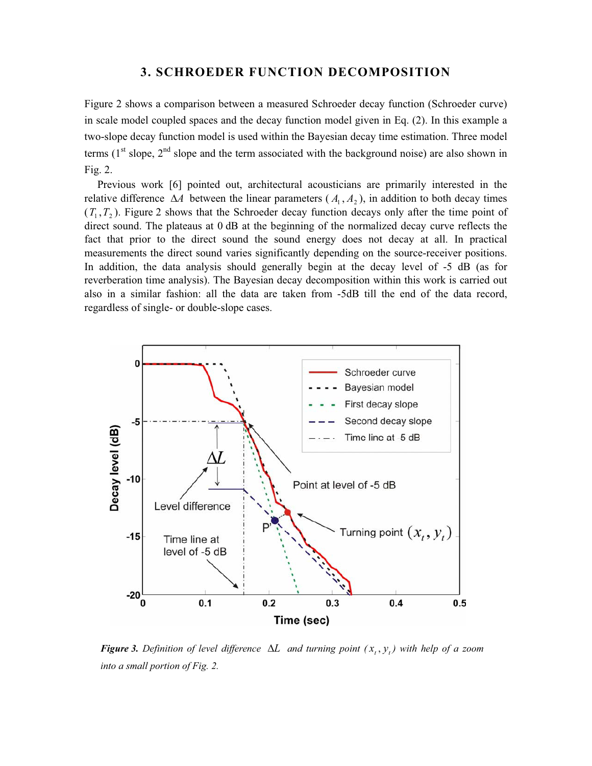# **3. SCHROEDER FUNCTION DECOMPOSITION**

Figure 2 shows a comparison between a measured Schroeder decay function (Schroeder curve) in scale model coupled spaces and the decay function model given in Eq. (2). In this example a two-slope decay function model is used within the Bayesian decay time estimation. Three model terms  $(1<sup>st</sup> slope, 2<sup>nd</sup> slope and the term associated with the background noise) are also shown in$ Fig. 2.

Previous work [6] pointed out, architectural acousticians are primarily interested in the relative difference  $\Delta A$  between the linear parameters  $(A_1, A_2)$ , in addition to both decay times  $(T_1, T_2)$ . Figure 2 shows that the Schroeder decay function decays only after the time point of direct sound. The plateaus at 0 dB at the beginning of the normalized decay curve reflects the fact that prior to the direct sound the sound energy does not decay at all. In practical measurements the direct sound varies significantly depending on the source-receiver positions. In addition, the data analysis should generally begin at the decay level of -5 dB (as for reverberation time analysis). The Bayesian decay decomposition within this work is carried out also in a similar fashion: all the data are taken from -5dB till the end of the data record, regardless of single- or double-slope cases.



*Figure 3. Definition of level difference*  $\Delta L$  *and turning point*  $(x_t, y_t)$  with help of a zoom *into a small portion of Fig. 2.*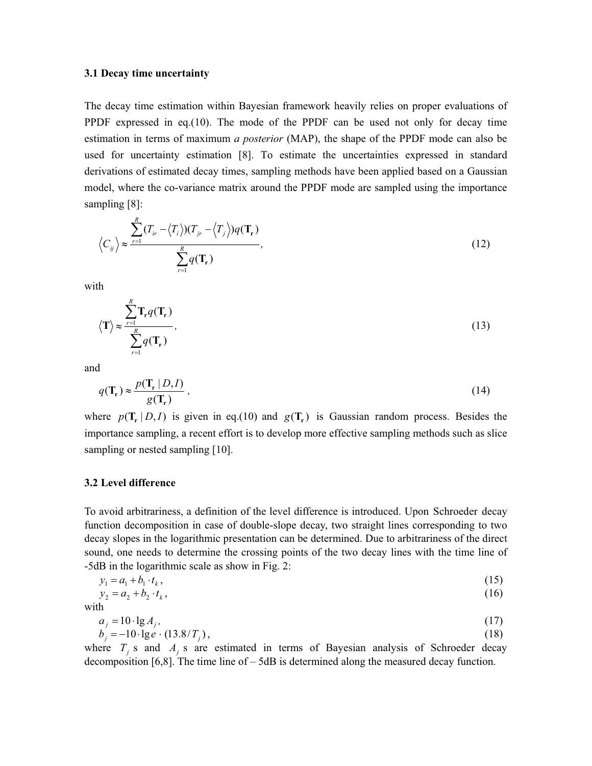### **3.1 Decay time uncertainty**

The decay time estimation within Bayesian framework heavily relies on proper evaluations of PPDF expressed in eq.(10). The mode of the PPDF can be used not only for decay time estimation in terms of maximum *a posterior* (MAP), the shape of the PPDF mode can also be used for uncertainty estimation [8]. To estimate the uncertainties expressed in standard derivations of estimated decay times, sampling methods have been applied based on a Gaussian model, where the co-variance matrix around the PPDF mode are sampled using the importance sampling [8]:

$$
\left\langle C_{ij} \right\rangle \approx \frac{\sum_{r=1}^{R} (T_{ir} - \left\langle T_i \right\rangle)(T_{jr} - \left\langle T_j \right\rangle)q(\mathbf{T_r})}{\sum_{r=1}^{R} q(\mathbf{T_r})}, \tag{12}
$$

with

$$
\langle \mathbf{T} \rangle \approx \frac{\sum_{r=1}^{R} \mathbf{T}_r q(\mathbf{T}_r)}{\sum_{r=1}^{R} q(\mathbf{T}_r)},
$$
\n(13)

and

$$
q(\mathbf{T}_r) \approx \frac{p(\mathbf{T}_r \mid D, I)}{g(\mathbf{T}_r)}\,,\tag{14}
$$

where  $p(T_r | D, I)$  is given in eq.(10) and  $g(T_r)$  is Gaussian random process. Besides the importance sampling, a recent effort is to develop more effective sampling methods such as slice sampling or nested sampling [10].

#### **3.2 Level difference**

To avoid arbitrariness, a definition of the level difference is introduced. Upon Schroeder decay function decomposition in case of double-slope decay, two straight lines corresponding to two decay slopes in the logarithmic presentation can be determined. Due to arbitrariness of the direct sound, one needs to determine the crossing points of the two decay lines with the time line of -5dB in the logarithmic scale as show in Fig. 2:

$$
y_1 = a_1 + b_1 \cdot t_k, \tag{15}
$$

$$
y_2 = a_2 + b_2 \cdot t_k, \tag{16}
$$

with

$$
a_j = 10 \cdot \lg A_j, b_j = -10 \cdot \lg e \cdot (13.8/T_j),
$$
\n(17)

where  $T_i$  s and  $A_i$  s are estimated in terms of Bayesian analysis of Schroeder decay decomposition [6,8]. The time line of – 5dB is determined along the measured decay function.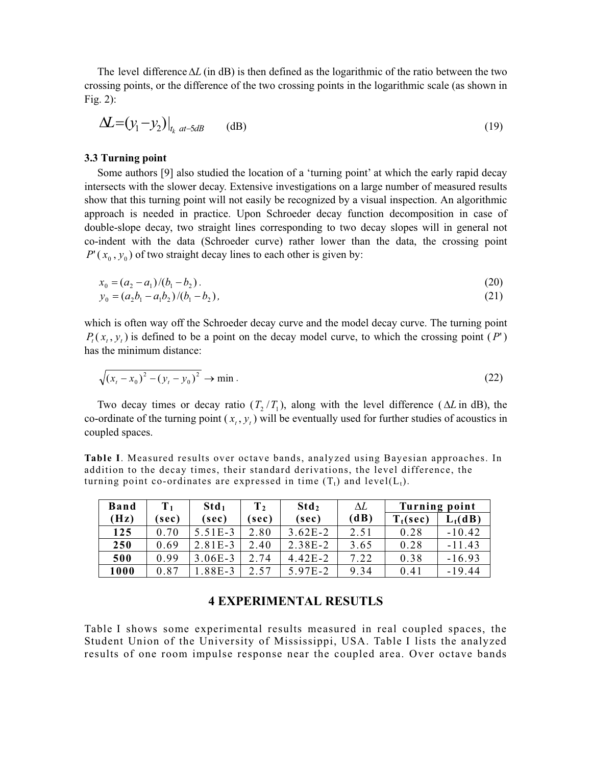The level difference  $\Delta L$  (in dB) is then defined as the logarithmic of the ratio between the two crossing points, or the difference of the two crossing points in the logarithmic scale (as shown in Fig. 2):

$$
\Delta \mathcal{L} = (y_1 - y_2)|_{t_k \text{ at } -5dB} \qquad \text{(dB)}
$$
\n(19)

#### **3.3 Turning point**

Some authors [9] also studied the location of a 'turning point' at which the early rapid decay intersects with the slower decay. Extensive investigations on a large number of measured results show that this turning point will not easily be recognized by a visual inspection. An algorithmic approach is needed in practice. Upon Schroeder decay function decomposition in case of double-slope decay, two straight lines corresponding to two decay slopes will in general not co-indent with the data (Schroeder curve) rather lower than the data, the crossing point  $P'(x_0, y_0)$  of two straight decay lines to each other is given by:

$$
x_0 = (a_2 - a_1)/(b_1 - b_2). \tag{20}
$$

$$
y_0 = (a_2b_1 - a_1b_2)/(b_1 - b_2),
$$
\n(21)

which is often way off the Schroeder decay curve and the model decay curve. The turning point  $P_t(x, y)$  is defined to be a point on the decay model curve, to which the crossing point  $(P')$ has the minimum distance:

$$
\sqrt{(x_t - x_0)^2 - (y_t - y_0)^2} \to \min. \tag{22}
$$

Two decay times or decay ratio  $(T, T)$ , along with the level difference ( $\Delta L$  in dB), the co-ordinate of the turning point  $(x, y, y)$  will be eventually used for further studies of acoustics in coupled spaces.

**Table I**. Measured results over octave bands, analyzed using Bayesian approaches. In addition to the decay times, their standard derivations, the level difference, the turning point co-ordinates are expressed in time  $(T_t)$  and level $(L_t)$ .

| <b>Band</b> | $\mathbf{T}_1$ | Std <sub>1</sub> | $\mathbf{T}_2$ | Std <sub>2</sub> | ΔL   | <b>Turning point</b> |            |
|-------------|----------------|------------------|----------------|------------------|------|----------------------|------------|
| (Hz)        | (sec)          | (sec)            | sec)           | (sec)            | (dB) | $T_t(\sec)$          | $L_t$ (dB) |
| 125         | 0.70           | $5.51E-3$        | 2.80           | $3.62E - 2$      | 2.51 | 0.28                 | $-10.42$   |
| 250         | 0.69           | $2.81E-3$        | 2.40           | $2.38E-2$        | 3.65 | 0.28                 | $-11.43$   |
| 500         | 0.99           | $3.06E - 3$      | 2.74           | $4.42E - 2$      | 7.22 | 0.38                 | $-16.93$   |
| 1000        | 0.87           | 1.88E-3          | 2.57           | 5.97E-2          | 9.34 | 0.41                 | $-19.44$   |

# **4 EXPERIMENTAL RESUTLS**

Table I shows some experimental results measured in real coupled spaces, the Student Union of the University of Mississippi, USA. Table I lists the analyzed results of one room impulse response near the coupled area. Over octave bands